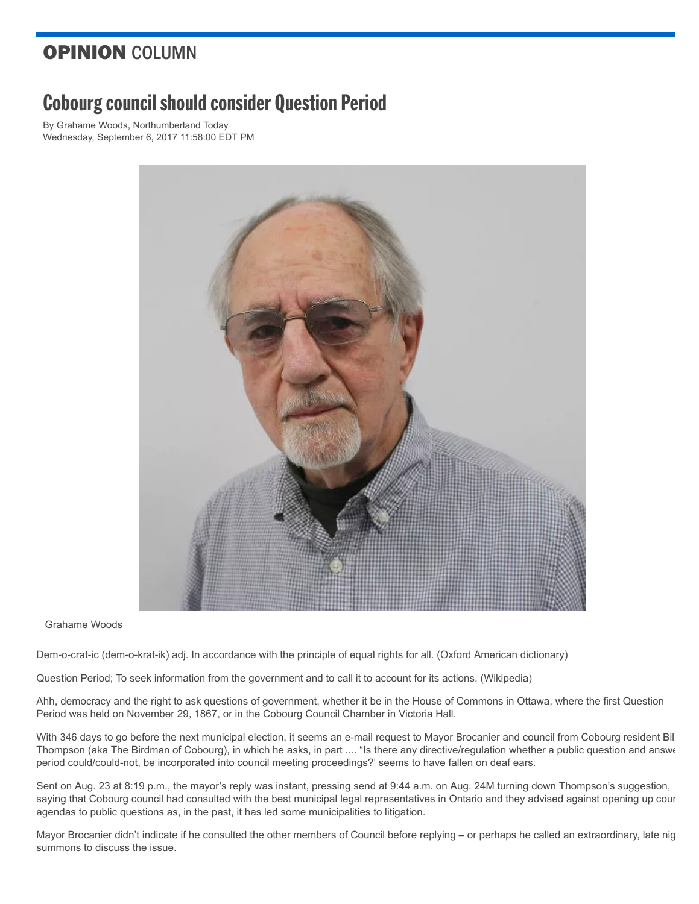## OPINION COLUMN

## **Cobourg council should consider Question Period**

By [Grahame Woods,](http://www.northumberlandtoday.com/author/grahame-woods) Northumberland Today Wednesday, September 6, 2017 11:58:00 EDT PM



Grahame Woods

Dem-o-crat-ic (dem-o-krat-ik) adj. In accordance with the principle of equal rights for all. (Oxford American dictionary)

Question Period; To seek information from the government and to call it to account for its actions. (Wikipedia)

Ahh, democracy and the right to ask questions of government, whether it be in the House of Commons in Ottawa, where the first Question Period was held on November 29, 1867, or in the Cobourg Council Chamber in Victoria Hall.

With 346 days to go before the next municipal election, it seems an e-mail request to Mayor Brocanier and council from Cobourg resident Bill Thompson (aka The Birdman of Cobourg), in which he asks, in part .... "Is there any directive/regulation whether a public question and answe period could/could-not, be incorporated into council meeting proceedings?' seems to have fallen on deaf ears.

Sent on Aug. 23 at 8:19 p.m., the mayor's reply was instant, pressing send at 9:44 a.m. on Aug. 24M turning down Thompson's suggestion, saying that Cobourg council had consulted with the best municipal legal representatives in Ontario and they advised against opening up cour agendas to public questions as, in the past, it has led some municipalities to litigation.

Mayor Brocanier didn't indicate if he consulted the other members of Council before replying – or perhaps he called an extraordinary, late nig summons to discuss the issue.